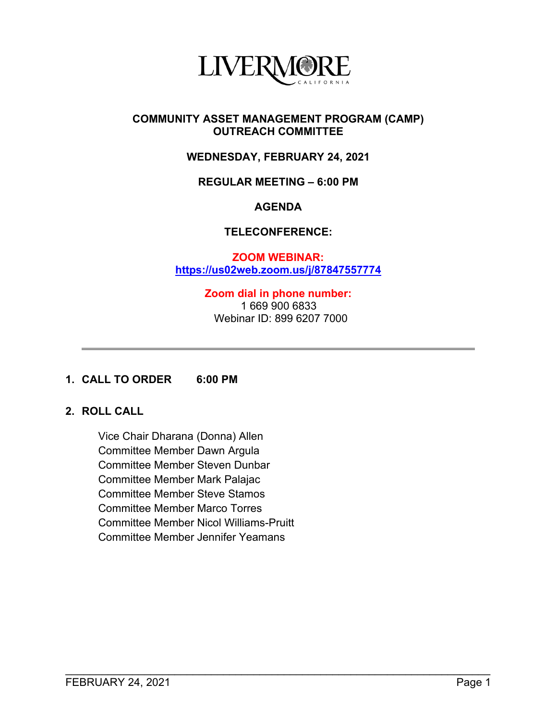

#### **COMMUNITY ASSET MANAGEMENT PROGRAM (CAMP) OUTREACH COMMITTEE**

# **WEDNESDAY, FEBRUARY 24, 2021**

#### **REGULAR MEETING – 6:00 PM**

#### **AGENDA**

### **TELECONFERENCE:**

**ZOOM WEBINAR: <https://us02web.zoom.us/j/87847557774>**

> **Zoom dial in phone number:** 1 669 900 6833 Webinar ID: 899 6207 7000

\_\_\_\_\_\_\_\_\_\_\_\_\_\_\_\_\_\_\_\_\_\_\_\_\_\_\_\_\_\_\_\_\_\_\_\_\_\_\_\_\_\_\_\_\_\_\_\_\_\_\_\_\_\_\_\_\_\_\_\_\_\_\_\_\_\_\_\_\_\_

#### **1. CALL TO ORDER 6:00 PM**

# **2. ROLL CALL**

Vice Chair Dharana (Donna) Allen Committee Member Dawn Argula Committee Member Steven Dunbar Committee Member Mark Palajac Committee Member Steve Stamos Committee Member Marco Torres Committee Member Nicol Williams-Pruitt Committee Member Jennifer Yeamans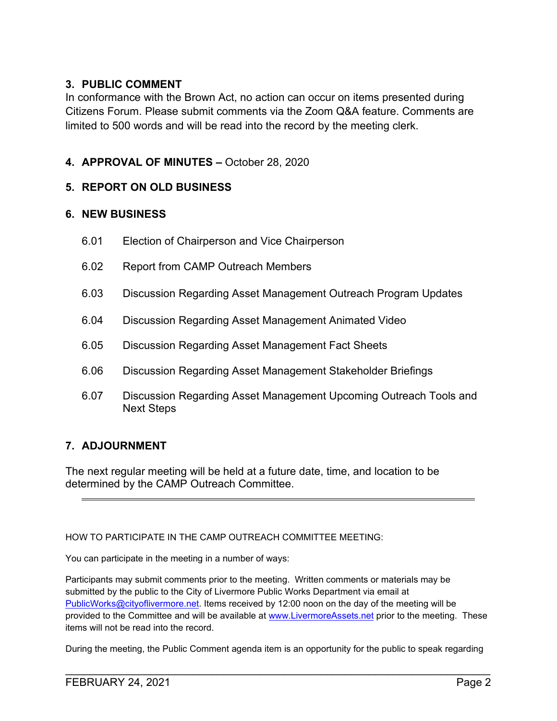# **3. PUBLIC COMMENT**

In conformance with the Brown Act, no action can occur on items presented during Citizens Forum. Please submit comments via the Zoom Q&A feature. Comments are limited to 500 words and will be read into the record by the meeting clerk.

# **4. APPROVAL OF MINUTES –** October 28, 2020

### **5. REPORT ON OLD BUSINESS**

### **6. NEW BUSINESS**

- 6.01 Election of Chairperson and Vice Chairperson
- 6.02 Report from CAMP Outreach Members
- 6.03 Discussion Regarding Asset Management Outreach Program Updates
- 6.04 Discussion Regarding Asset Management Animated Video
- 6.05 Discussion Regarding Asset Management Fact Sheets
- 6.06 Discussion Regarding Asset Management Stakeholder Briefings
- 6.07 Discussion Regarding Asset Management Upcoming Outreach Tools and Next Steps

### **7. ADJOURNMENT**

The next regular meeting will be held at a future date, time, and location to be determined by the CAMP Outreach Committee.

HOW TO PARTICIPATE IN THE CAMP OUTREACH COMMITTEE MEETING:

You can participate in the meeting in a number of ways:

Participants may submit comments prior to the meeting. Written comments or materials may be submitted by the public to the City of Livermore Public Works Department via email at [PublicWorks@cityoflivermore.net.](mailto:PublicWorks@cityoflivermore.net) Items received by 12:00 noon on the day of the meeting will be provided to the Committee and will be available at [www.LivermoreAssets.net](http://www.livermoreassets.net/) prior to the meeting. These items will not be read into the record.

During the meeting, the Public Comment agenda item is an opportunity for the public to speak regarding